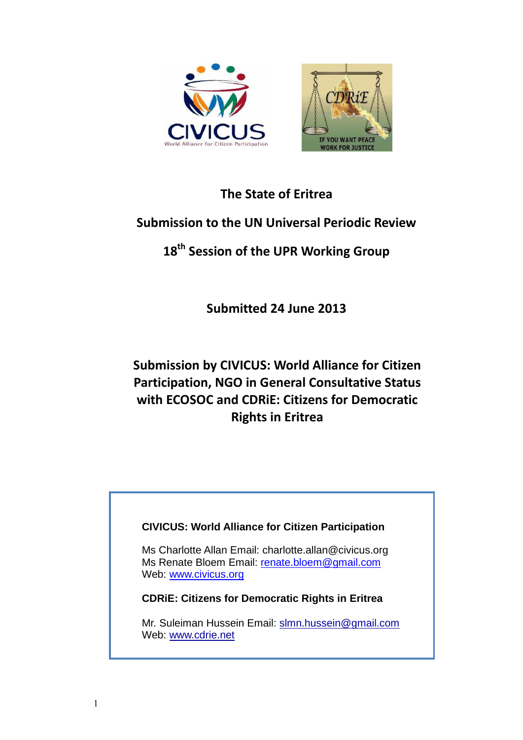

## **The State of Eritrea**

## **Submission to the UN Universal Periodic Review**

# **18 th Session of the UPR Working Group**

**Submitted 24 June 2013**

# **Submission by CIVICUS: World Alliance for Citizen Participation, NGO in General Consultative Status with ECOSOC and CDRiE: Citizens for Democratic Rights in Eritrea**

### **CIVICUS: World Alliance for Citizen Participation**

Ms Charlotte Allan Email: charlotte.allan@civicus.org Ms Renate Bloem Email: [renate.bloem@gmail.com](mailto:renate.bloem@gmail.com) Web: [www.civicus.org](http://www.civicus.org/)

**CDRiE: Citizens for Democratic Rights in Eritrea**

Mr. Suleiman Hussein Email: [slmn.hussein@gmail.com](mailto:slmn.hussein@gmail.com) Web: [www.cdrie.net](http://www.cdrie.net/)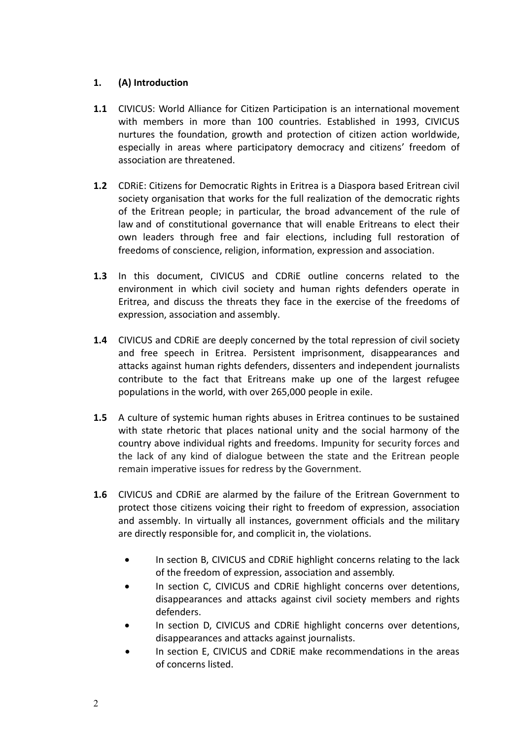#### **1. (A) Introduction**

- **1.1** CIVICUS: World Alliance for Citizen Participation is an international movement with members in more than 100 countries. Established in 1993, CIVICUS nurtures the foundation, growth and protection of citizen action worldwide, especially in areas where participatory democracy and citizens' freedom of association are threatened.
- **1.2** CDRiE: Citizens for Democratic Rights in Eritrea is a Diaspora based Eritrean civil society organisation that works for the full realization of the democratic rights of the Eritrean people; in particular, the broad advancement of the rule of law and of constitutional governance that will enable Eritreans to elect their own leaders through free and fair elections, including full restoration of freedoms of conscience, religion, information, expression and association.
- **1.3** In this document, CIVICUS and CDRiE outline concerns related to the environment in which civil society and human rights defenders operate in Eritrea, and discuss the threats they face in the exercise of the freedoms of expression, association and assembly.
- **1.4** CIVICUS and CDRiE are deeply concerned by the total repression of civil society and free speech in Eritrea. Persistent imprisonment, disappearances and attacks against human rights defenders, dissenters and independent journalists contribute to the fact that Eritreans make up one of the largest refugee populations in the world, with over 265,000 people in exile.
- **1.5** A culture of systemic human rights abuses in Eritrea continues to be sustained with state rhetoric that places national unity and the social harmony of the country above individual rights and freedoms. Impunity for security forces and the lack of any kind of dialogue between the state and the Eritrean people remain imperative issues for redress by the Government.
- **1.6** CIVICUS and CDRiE are alarmed by the failure of the Eritrean Government to protect those citizens voicing their right to freedom of expression, association and assembly. In virtually all instances, government officials and the military are directly responsible for, and complicit in, the violations.
	- In section B, CIVICUS and CDRiE highlight concerns relating to the lack of the freedom of expression, association and assembly.
	- In section C, CIVICUS and CDRiE highlight concerns over detentions, disappearances and attacks against civil society members and rights defenders.
	- In section D, CIVICUS and CDRiE highlight concerns over detentions, disappearances and attacks against journalists.
	- In section E, CIVICUS and CDRiE make recommendations in the areas of concerns listed.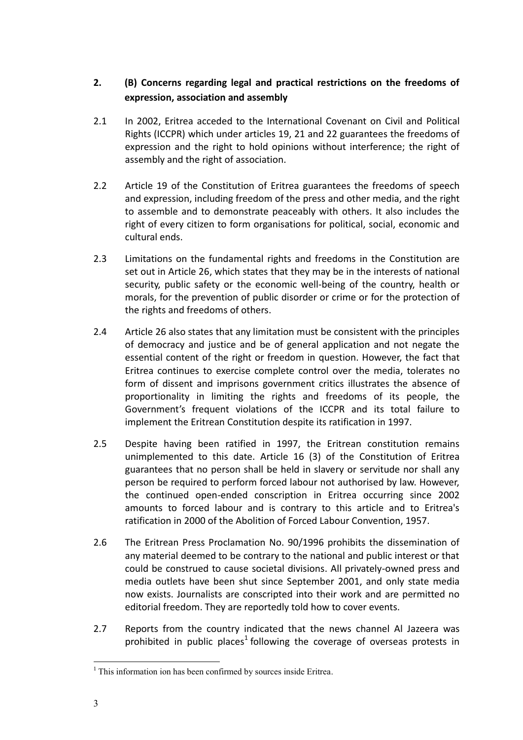#### **2. (B) Concerns regarding legal and practical restrictions on the freedoms of expression, association and assembly**

- 2.1 In 2002, Eritrea acceded to the International Covenant on Civil and Political Rights (ICCPR) which under articles 19, 21 and 22 guarantees the freedoms of expression and the right to hold opinions without interference; the right of assembly and the right of association.
- 2.2 Article 19 of the Constitution of Eritrea guarantees the freedoms of speech and expression, including freedom of the press and other media, and the right to assemble and to demonstrate peaceably with others. It also includes the right of every citizen to form organisations for political, social, economic and cultural ends.
- 2.3 Limitations on the fundamental rights and freedoms in the Constitution are set out in Article 26, which states that they may be in the interests of national security, public safety or the economic well-being of the country, health or morals, for the prevention of public disorder or crime or for the protection of the rights and freedoms of others.
- 2.4 Article 26 also states that any limitation must be consistent with the principles of democracy and justice and be of general application and not negate the essential content of the right or freedom in question. However, the fact that Eritrea continues to exercise complete control over the media, tolerates no form of dissent and imprisons government critics illustrates the absence of proportionality in limiting the rights and freedoms of its people, the Government's frequent violations of the ICCPR and its total failure to implement the Eritrean Constitution despite its ratification in 1997.
- 2.5 Despite having been ratified in 1997, the Eritrean constitution remains unimplemented to this date. Article 16 (3) of the Constitution of Eritrea guarantees that no person shall be held in slavery or servitude nor shall any person be required to perform forced labour not authorised by law. However, the continued open-ended conscription in Eritrea occurring since 2002 amounts to forced labour and is contrary to this article and to Eritrea's ratification in 2000 of the Abolition of Forced Labour Convention, 1957.
- 2.6 The Eritrean Press Proclamation No. 90/1996 prohibits the dissemination of any material deemed to be contrary to the national and public interest or that could be construed to cause societal divisions. All privately-owned press and media outlets have been shut since September 2001, and only state media now exists. Journalists are conscripted into their work and are permitted no editorial freedom. They are reportedly told how to cover events.
- 2.7 Reports from the country indicated that the news channel Al Jazeera was prohibited in public places<sup>1</sup> following the coverage of overseas protests in

 $\overline{a}$ 

<sup>&</sup>lt;sup>1</sup> This information ion has been confirmed by sources inside Eritrea.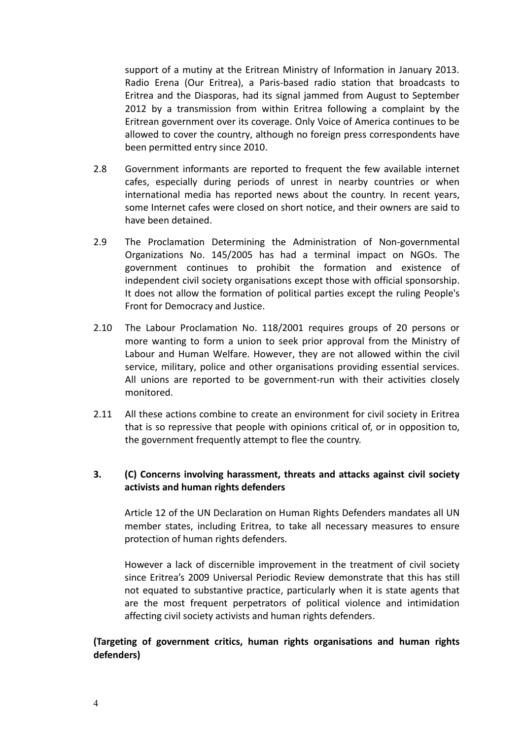support of a mutiny at the Eritrean Ministry of Information in January 2013. Radio Erena (Our Eritrea), a Paris-based radio station that broadcasts to Eritrea and the Diasporas, had its signal jammed from August to September 2012 by a transmission from within Eritrea following a complaint by the Eritrean government over its coverage. Only Voice of America continues to be allowed to cover the country, although no foreign press correspondents have been permitted entry since 2010.

- 2.8 Government informants are reported to frequent the few available internet cafes, especially during periods of unrest in nearby countries or when international media has reported news about the country. In recent years, some Internet cafes were closed on short notice, and their owners are said to have been detained.
- 2.9 The Proclamation Determining the Administration of Non-governmental Organizations No. 145/2005 has had a terminal impact on NGOs. The government continues to prohibit the formation and existence of independent civil society organisations except those with official sponsorship. It does not allow the formation of political parties except the ruling People's Front for Democracy and Justice.
- 2.10 The Labour Proclamation No. 118/2001 requires groups of 20 persons or more wanting to form a union to seek prior approval from the Ministry of Labour and Human Welfare. However, they are not allowed within the civil service, military, police and other organisations providing essential services. All unions are reported to be government-run with their activities closely monitored.
- 2.11 All these actions combine to create an environment for civil society in Eritrea that is so repressive that people with opinions critical of, or in opposition to, the government frequently attempt to flee the country.

#### **3. (C) Concerns involving harassment, threats and attacks against civil society activists and human rights defenders**

Article 12 of the UN Declaration on Human Rights Defenders mandates all UN member states, including Eritrea, to take all necessary measures to ensure protection of human rights defenders.

However a lack of discernible improvement in the treatment of civil society since Eritrea's 2009 Universal Periodic Review demonstrate that this has still not equated to substantive practice, particularly when it is state agents that are the most frequent perpetrators of political violence and intimidation affecting civil society activists and human rights defenders.

#### **(Targeting of government critics, human rights organisations and human rights defenders)**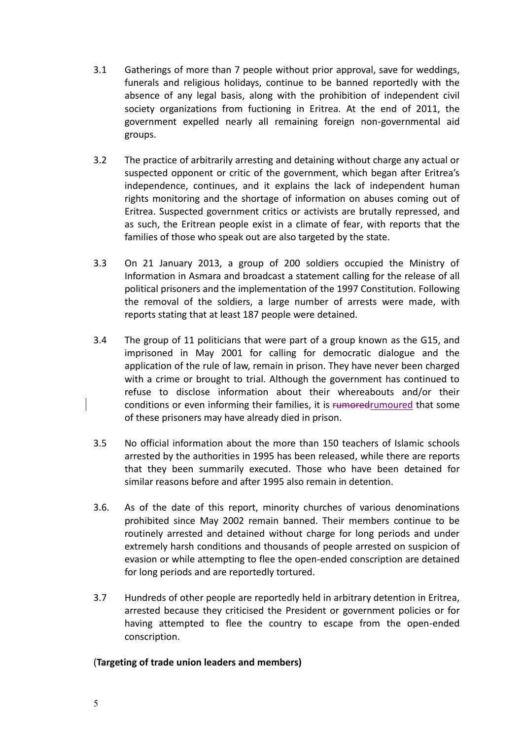- 3.1 Gatherings of more than 7 people without prior approval, save for weddings, funerals and religious holidays, continue to be banned reportedly with the absence of any legal basis, along with the prohibition of independent civil society organizations from fuctioning in Eritrea. At the end of 2011, the government expelled nearly all remaining foreign non-governmental aid groups.
- 3.2 The practice of arbitrarily arresting and detaining without charge any actual or suspected opponent or critic of the government, which began after Eritrea's independence, continues, and it explains the lack of independent human rights monitoring and the shortage of information on abuses coming out of Eritrea. Suspected government critics or activists are brutally repressed, and as such, the Eritrean people exist in a climate of fear, with reports that the families of those who speak out are also targeted by the state.
- 3.3 On 21 January 2013, a group of 200 soldiers occupied the Ministry of Information in Asmara and broadcast a statement calling for the release of all political prisoners and the implementation of the 1997 Constitution. Following the removal of the soldiers, a large number of arrests were made, with reports stating that at least 187 people were detained.
- 3.4 The group of 11 politicians that were part of a group known as the G15, and imprisoned in May 2001 for calling for democratic dialogue and the application of the rule of law, remain in prison. They have never been charged with a crime or brought to trial. Although the government has continued to refuse to disclose information about their whereabouts and/or their conditions or even informing their families, it is rumoredrumoured that some of these prisoners may have already died in prison.
- 3.5 No official information about the more than 150 teachers of Islamic schools arrested by the authorities in 1995 has been released, while there are reports that they been summarily executed. Those who have been detained for similar reasons before and after 1995 also remain in detention.
- 3.6. As of the date of this report, minority churches of various denominations prohibited since May 2002 remain banned. Their members continue to be routinely arrested and detained without charge for long periods and under extremely harsh conditions and thousands of people arrested on suspicion of evasion or while attempting to flee the open-ended conscription are detained for long periods and are reportedly tortured.
- 3.7 Hundreds of other people are reportedly held in arbitrary detention in Eritrea, arrested because they criticised the President or government policies or for having attempted to flee the country to escape from the open-ended conscription.

#### (**Targeting of trade union leaders and members)**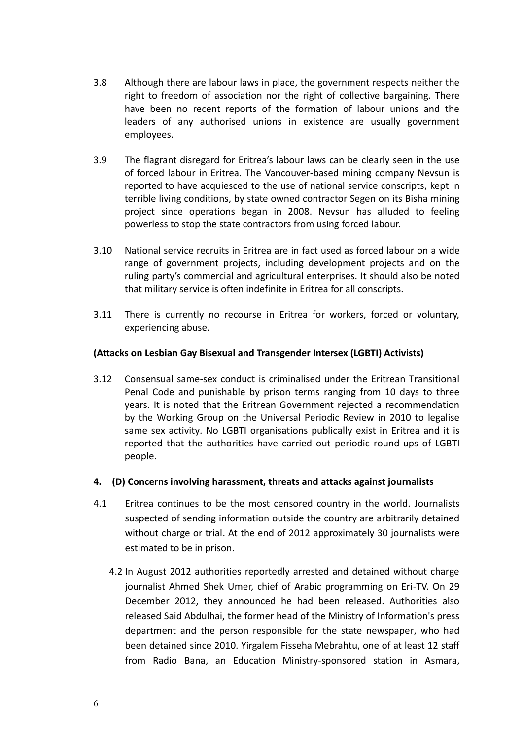- 3.8 Although there are labour laws in place, the government respects neither the right to freedom of association nor the right of collective bargaining. There have been no recent reports of the formation of labour unions and the leaders of any authorised unions in existence are usually government employees.
- 3.9 The flagrant disregard for Eritrea's labour laws can be clearly seen in the use of forced labour in Eritrea. The Vancouver-based mining company Nevsun is reported to have acquiesced to the use of national service conscripts, kept in terrible living conditions, by state owned contractor Segen on its Bisha mining project since operations began in 2008. Nevsun has alluded to feeling powerless to stop the state contractors from using forced labour.
- 3.10 National service recruits in Eritrea are in fact used as forced labour on a wide range of government projects, including development projects and on the ruling party's commercial and agricultural enterprises. It should also be noted that military service is often indefinite in Eritrea for all conscripts.
- 3.11 There is currently no recourse in Eritrea for workers, forced or voluntary, experiencing abuse.

#### **(Attacks on Lesbian Gay Bisexual and Transgender Intersex (LGBTI) Activists)**

- 3.12 Consensual same-sex conduct is criminalised under the Eritrean Transitional Penal Code and punishable by prison terms ranging from 10 days to three years. It is noted that the Eritrean Government rejected a recommendation by the Working Group on the Universal Periodic Review in 2010 to legalise same sex activity. No LGBTI organisations publically exist in Eritrea and it is reported that the authorities have carried out periodic round-ups of LGBTI people.
- **4. (D) Concerns involving harassment, threats and attacks against journalists**
- 4.1 Eritrea continues to be the most censored country in the world. Journalists suspected of sending information outside the country are arbitrarily detained without charge or trial. At the end of 2012 approximately 30 journalists were estimated to be in prison.
	- 4.2 In August 2012 authorities reportedly arrested and detained without charge journalist Ahmed Shek Umer, chief of Arabic programming on Eri-TV. On 29 December 2012, they announced he had been released. Authorities also released Said Abdulhai, the former head of the Ministry of Information's press department and the person responsible for the state newspaper, who had been detained since 2010. Yirgalem Fisseha Mebrahtu, one of at least 12 staff from Radio Bana, an Education Ministry-sponsored station in Asmara,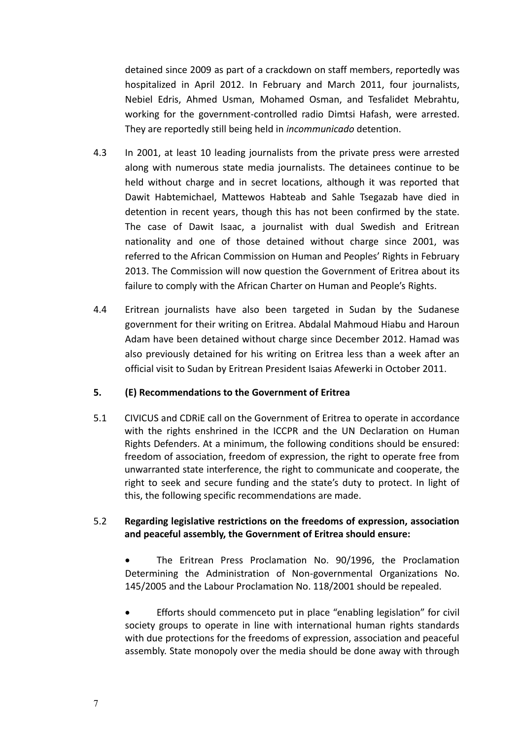detained since 2009 as part of a crackdown on staff members, reportedly was hospitalized in April 2012. In February and March 2011, four journalists, Nebiel Edris, Ahmed Usman, Mohamed Osman, and Tesfalidet Mebrahtu, working for the government-controlled radio Dimtsi Hafash, were arrested. They are reportedly still being held in *incommunicado* detention.

- 4.3 In 2001, at least 10 leading journalists from the private press were arrested along with numerous state media journalists. The detainees continue to be held without charge and in secret locations, although it was reported that Dawit Habtemichael, Mattewos Habteab and Sahle Tsegazab have died in detention in recent years, though this has not been confirmed by the state. The case of Dawit Isaac, a journalist with dual Swedish and Eritrean nationality and one of those detained without charge since 2001, was referred to the African Commission on Human and Peoples' Rights in February 2013. The Commission will now question the Government of Eritrea about its failure to comply with the African Charter on Human and People's Rights.
- 4.4 Eritrean journalists have also been targeted in Sudan by the Sudanese government for their writing on Eritrea. Abdalal Mahmoud Hiabu and Haroun Adam have been detained without charge since December 2012. Hamad was also previously detained for his writing on Eritrea less than a week after an official visit to Sudan by Eritrean President Isaias Afewerki in October 2011.

#### **5. (E) Recommendations to the Government of Eritrea**

5.1 CIVICUS and CDRiE call on the Government of Eritrea to operate in accordance with the rights enshrined in the ICCPR and the UN Declaration on Human Rights Defenders. At a minimum, the following conditions should be ensured: freedom of association, freedom of expression, the right to operate free from unwarranted state interference, the right to communicate and cooperate, the right to seek and secure funding and the state's duty to protect. In light of this, the following specific recommendations are made.

#### 5.2 **Regarding legislative restrictions on the freedoms of expression, association and peaceful assembly, the Government of Eritrea should ensure:**

 The Eritrean Press Proclamation No. 90/1996, the Proclamation Determining the Administration of Non-governmental Organizations No. 145/2005 and the Labour Proclamation No. 118/2001 should be repealed.

 Efforts should commenceto put in place "enabling legislation" for civil society groups to operate in line with international human rights standards with due protections for the freedoms of expression, association and peaceful assembly. State monopoly over the media should be done away with through